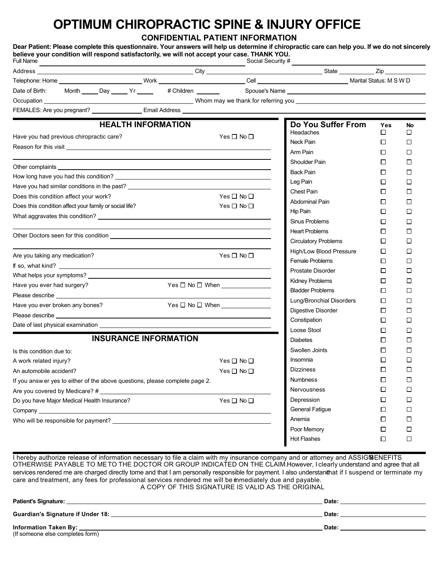## **OPTIMUM CHIROPRACTIC SPINE & INJURY OFFICE**

**CONFIDENTIAL PATIENT INFORMATION**

| Full Name                                                                                                                                                                                                                                                         |  |  |  |                              | believe your condition will respond satisfactorily, we will not accept your case. THANK YOU.                                                                                                                                   | Dear Patient: Please complete this questionnaire. Your answers will help us determine if chiropractic care can help you. If we do not sincerely |                          |                          |  |
|-------------------------------------------------------------------------------------------------------------------------------------------------------------------------------------------------------------------------------------------------------------------|--|--|--|------------------------------|--------------------------------------------------------------------------------------------------------------------------------------------------------------------------------------------------------------------------------|-------------------------------------------------------------------------------------------------------------------------------------------------|--------------------------|--------------------------|--|
|                                                                                                                                                                                                                                                                   |  |  |  |                              |                                                                                                                                                                                                                                |                                                                                                                                                 |                          |                          |  |
|                                                                                                                                                                                                                                                                   |  |  |  |                              |                                                                                                                                                                                                                                |                                                                                                                                                 |                          |                          |  |
| Date of Birth: Month _____ Day _____ Yr _____ # Children ______                                                                                                                                                                                                   |  |  |  |                              |                                                                                                                                                                                                                                |                                                                                                                                                 |                          |                          |  |
|                                                                                                                                                                                                                                                                   |  |  |  |                              |                                                                                                                                                                                                                                |                                                                                                                                                 |                          |                          |  |
|                                                                                                                                                                                                                                                                   |  |  |  |                              |                                                                                                                                                                                                                                |                                                                                                                                                 |                          |                          |  |
|                                                                                                                                                                                                                                                                   |  |  |  | <b>HEALTH INFORMATION</b>    |                                                                                                                                                                                                                                | Do You Suffer From                                                                                                                              | Yes                      | No                       |  |
|                                                                                                                                                                                                                                                                   |  |  |  |                              | Yes $\square$ No $\square$                                                                                                                                                                                                     | Headaches                                                                                                                                       | □                        | □                        |  |
| Have you had previous chiropractic care?                                                                                                                                                                                                                          |  |  |  | Neck Pain                    | □                                                                                                                                                                                                                              | $\Box$                                                                                                                                          |                          |                          |  |
|                                                                                                                                                                                                                                                                   |  |  |  |                              |                                                                                                                                                                                                                                | Arm Pain                                                                                                                                        | $\Box$                   | $\overline{\phantom{a}}$ |  |
|                                                                                                                                                                                                                                                                   |  |  |  |                              |                                                                                                                                                                                                                                | Shoulder Pain                                                                                                                                   | П                        | $\Box$                   |  |
|                                                                                                                                                                                                                                                                   |  |  |  |                              | Other complaints experience and the complaints of the complaints of the complaints of the complaints of the complaints of the complaints of the complaints of the complaints of the complaints of the complaints of the compla | <b>Back Pain</b>                                                                                                                                | $\Box$                   | $\Box$                   |  |
|                                                                                                                                                                                                                                                                   |  |  |  | Leg Pain                     | $\Box$                                                                                                                                                                                                                         | $\overline{\phantom{a}}$                                                                                                                        |                          |                          |  |
|                                                                                                                                                                                                                                                                   |  |  |  |                              | Have you had similar conditions in the past? ___________________________________                                                                                                                                               | Chest Pain                                                                                                                                      | □                        | $\Box$                   |  |
| Does this condition affect your work?                                                                                                                                                                                                                             |  |  |  |                              | Yes $\Box$ No $\Box$                                                                                                                                                                                                           | Abdominal Pain                                                                                                                                  | П                        | $\Box$                   |  |
| Does this condition affect your family or social life?                                                                                                                                                                                                            |  |  |  |                              | Yes $\square$ No $\square$                                                                                                                                                                                                     | Hip Pain                                                                                                                                        | □                        | $\Box$                   |  |
|                                                                                                                                                                                                                                                                   |  |  |  |                              |                                                                                                                                                                                                                                | Sinus Problems                                                                                                                                  | □                        | П                        |  |
|                                                                                                                                                                                                                                                                   |  |  |  |                              |                                                                                                                                                                                                                                | <b>Heart Problems</b>                                                                                                                           | П                        | $\mathsf{I}$             |  |
|                                                                                                                                                                                                                                                                   |  |  |  |                              |                                                                                                                                                                                                                                | <b>Circulatory Problems</b>                                                                                                                     | □                        | □                        |  |
|                                                                                                                                                                                                                                                                   |  |  |  |                              | Yes□No□                                                                                                                                                                                                                        | High/Low Blood Pressure                                                                                                                         | □                        | $\overline{\phantom{a}}$ |  |
| Are you taking any medication?                                                                                                                                                                                                                                    |  |  |  |                              |                                                                                                                                                                                                                                | Female Problems                                                                                                                                 | □                        | $\Box$                   |  |
|                                                                                                                                                                                                                                                                   |  |  |  |                              |                                                                                                                                                                                                                                | Prostate Disorder                                                                                                                               | $\Box$                   | $\mathsf{I}$             |  |
|                                                                                                                                                                                                                                                                   |  |  |  |                              | $Yes \Box No \Box When$                                                                                                                                                                                                        | Kidney Problems                                                                                                                                 | □                        | $\mathsf{I}$             |  |
| Have you ever had surgery?                                                                                                                                                                                                                                        |  |  |  |                              |                                                                                                                                                                                                                                | <b>Bladder Problems</b>                                                                                                                         | $\Box$                   | $\Box$                   |  |
|                                                                                                                                                                                                                                                                   |  |  |  |                              | Lung/Bronchial Disorders                                                                                                                                                                                                       | $\Box$                                                                                                                                          | $\Box$                   |                          |  |
| Have you ever broken any bones?<br>Please describe experimental and the set of the set of the set of the set of the set of the set of the set of the set of the set of the set of the set of the set of the set of the set of the set of the set of the set of th |  |  |  |                              |                                                                                                                                                                                                                                | Digestive Disorder                                                                                                                              | $\Box$                   | $\Box$                   |  |
|                                                                                                                                                                                                                                                                   |  |  |  |                              |                                                                                                                                                                                                                                | Constipation                                                                                                                                    | $\Box$                   | $\Box$                   |  |
|                                                                                                                                                                                                                                                                   |  |  |  |                              |                                                                                                                                                                                                                                | Loose Stool                                                                                                                                     | П                        | $\mathsf{I}$             |  |
|                                                                                                                                                                                                                                                                   |  |  |  | <b>INSURANCE INFORMATION</b> |                                                                                                                                                                                                                                | <b>Diabetes</b>                                                                                                                                 | П                        | $\Box$                   |  |
| Is this condition due to:                                                                                                                                                                                                                                         |  |  |  |                              |                                                                                                                                                                                                                                | Swollen Joints                                                                                                                                  | $\Box$                   | $\overline{\phantom{a}}$ |  |
| A work related injury?                                                                                                                                                                                                                                            |  |  |  |                              | Yes $\square$ No $\square$                                                                                                                                                                                                     | Insomnia                                                                                                                                        | □                        | $\Box$                   |  |
| An automobile accident?                                                                                                                                                                                                                                           |  |  |  |                              | Yes □ No □                                                                                                                                                                                                                     | <b>Dizziness</b>                                                                                                                                | □                        | □                        |  |
| If you answ er yes to either of the above questions, please complete page 2.                                                                                                                                                                                      |  |  |  | <b>Numbness</b>              | ப                                                                                                                                                                                                                              | l 1                                                                                                                                             |                          |                          |  |
| Are you covered by Medicare? #                                                                                                                                                                                                                                    |  |  |  |                              |                                                                                                                                                                                                                                | Nervousness                                                                                                                                     | $\overline{\phantom{a}}$ | □                        |  |
| Do you have Major Medical Health Insurance?                                                                                                                                                                                                                       |  |  |  |                              | Yes □ No □                                                                                                                                                                                                                     | Depression                                                                                                                                      | ப                        | $\overline{\phantom{a}}$ |  |
|                                                                                                                                                                                                                                                                   |  |  |  |                              |                                                                                                                                                                                                                                | <b>General Fatigue</b>                                                                                                                          | □                        | □                        |  |
|                                                                                                                                                                                                                                                                   |  |  |  |                              | Who will be responsible for payment? Letter and the state of the state of the state of the state of the state of the state of the state of the state of the state of the state of the state of the state of the state of the s | Anemia                                                                                                                                          | ப                        | $\Box$                   |  |
|                                                                                                                                                                                                                                                                   |  |  |  |                              |                                                                                                                                                                                                                                | Poor Memory                                                                                                                                     | □                        | □                        |  |
|                                                                                                                                                                                                                                                                   |  |  |  |                              |                                                                                                                                                                                                                                | <b>Hot Flashes</b>                                                                                                                              | □                        | □                        |  |

I hereby authorize release of information necessary to file a claim with my insurance company and or attorney and ASSIGIBENEFITS OTHERWISE PAYABLE TO ME TO THE DOCTOR OR GROUP INDICATED ON THE CLAIM. However, I clearly understand and agree that all services rendered me are charged directly tome and that I am personally responsible for payment. I also understanthat if I suspend or terminate my care and treatment, any fees for professional services rendered me will be immediately due and payable. A COPY OF THIS SIGNATURE IS VALID AS THE ORIGINAL

| <b>Patient's Signature:</b>                                   | Date: |
|---------------------------------------------------------------|-------|
| Guardian's Signature if Under 18:                             | Date: |
| Information Taken By: ___<br>(If someone else completes form) | Date: |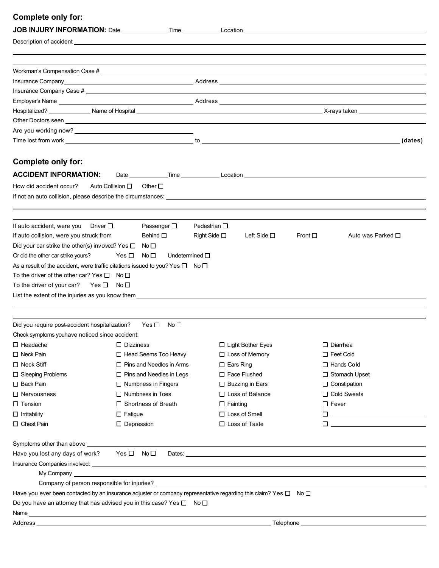#### **Complete only for:**

|                                                                       | Other Doctors seen <u>example and the second second second second second second second second second second second second second second second second second second second second second second second second second second seco</u> |                                             |                                                                                                                                                                                                                                 |
|-----------------------------------------------------------------------|--------------------------------------------------------------------------------------------------------------------------------------------------------------------------------------------------------------------------------------|---------------------------------------------|---------------------------------------------------------------------------------------------------------------------------------------------------------------------------------------------------------------------------------|
|                                                                       |                                                                                                                                                                                                                                      |                                             |                                                                                                                                                                                                                                 |
|                                                                       |                                                                                                                                                                                                                                      |                                             |                                                                                                                                                                                                                                 |
| Complete only for:                                                    |                                                                                                                                                                                                                                      |                                             |                                                                                                                                                                                                                                 |
| <b>ACCIDENT INFORMATION:</b>                                          |                                                                                                                                                                                                                                      |                                             |                                                                                                                                                                                                                                 |
| How did accident occur?                                               | Auto Collision $\Box$<br>Other $\square$                                                                                                                                                                                             |                                             |                                                                                                                                                                                                                                 |
|                                                                       |                                                                                                                                                                                                                                      |                                             |                                                                                                                                                                                                                                 |
|                                                                       |                                                                                                                                                                                                                                      |                                             |                                                                                                                                                                                                                                 |
| If auto accident, were you Driver $\square$                           | Passenger □                                                                                                                                                                                                                          | Pedestrian $\square$                        |                                                                                                                                                                                                                                 |
| If auto collision, were you struck from                               | Behind $\square$                                                                                                                                                                                                                     | Right Side $\square$<br>Left Side $\square$ | Front $\square$<br>Auto was Parked □                                                                                                                                                                                            |
| Did your car strike the other(s) involved? Yes $\square$ No $\square$ |                                                                                                                                                                                                                                      |                                             |                                                                                                                                                                                                                                 |
| Or did the other car strike yours?                                    | Yes $\Box$<br>No $\square$<br>Undetermined $\square$                                                                                                                                                                                 |                                             |                                                                                                                                                                                                                                 |
|                                                                       | As a result of the accident, were traffic citations issued to you? Yes $\square$ No $\square$                                                                                                                                        |                                             |                                                                                                                                                                                                                                 |
| To the driver of the other car? Yes $\Box$                            | No □                                                                                                                                                                                                                                 |                                             |                                                                                                                                                                                                                                 |
| To the driver of your car? Yes $\square$                              | No □                                                                                                                                                                                                                                 |                                             |                                                                                                                                                                                                                                 |
|                                                                       |                                                                                                                                                                                                                                      |                                             |                                                                                                                                                                                                                                 |
|                                                                       |                                                                                                                                                                                                                                      |                                             |                                                                                                                                                                                                                                 |
| Did you require post-accident hospitalization?                        | Yes □<br>No $\square$                                                                                                                                                                                                                |                                             |                                                                                                                                                                                                                                 |
| Check symptoms youhave noticed since accident:                        |                                                                                                                                                                                                                                      |                                             |                                                                                                                                                                                                                                 |
| $\Box$ Headache                                                       | $\Box$ Dizziness                                                                                                                                                                                                                     | □ Light Bother Eyes                         | $\square$ Diarrhea                                                                                                                                                                                                              |
| $\Box$ Neck Pain                                                      | □ Head Seems Too Heavy                                                                                                                                                                                                               | $\Box$ Loss of Memory                       | $\Box$ Feet Cold                                                                                                                                                                                                                |
| $\Box$ Neck Stiff                                                     | $\Box$ Pins and Needles in Arms                                                                                                                                                                                                      | $\Box$ Ears Ring                            | $\Box$ Hands Cold                                                                                                                                                                                                               |
| □ Sleeping Problems                                                   | $\Box$ Pins and Needles in Legs                                                                                                                                                                                                      | $\Box$ Face Flushed                         | □ Stomach Upset                                                                                                                                                                                                                 |
| $\Box$ Back Pain                                                      | $\Box$ Numbness in Fingers                                                                                                                                                                                                           | $\Box$ Buzzing in Ears                      | $\Box$ Constipation                                                                                                                                                                                                             |
| $\Box$ Nervousness                                                    | $\Box$ Numbness in Toes                                                                                                                                                                                                              | □ Loss of Balance                           | □ Cold Sweats                                                                                                                                                                                                                   |
| $\square$ Tension                                                     | □ Shortness of Breath                                                                                                                                                                                                                | $\Box$ Fainting                             | $\square$ Fever                                                                                                                                                                                                                 |
| $\Box$ Irritability                                                   | $\Box$ Fatigue                                                                                                                                                                                                                       | $\Box$ Loss of Smell                        | 0 __________________________                                                                                                                                                                                                    |
| □ Chest Pain                                                          | $\Box$ Depression                                                                                                                                                                                                                    | $\Box$ Loss of Taste                        | $\Box$ and the set of the set of the set of the set of the set of the set of the set of the set of the set of the set of the set of the set of the set of the set of the set of the set of the set of the set of the set of the |
| Symptoms other than above                                             |                                                                                                                                                                                                                                      |                                             | ,我们也不会有什么。""我们的人,我们也不会有什么?""我们的人,我们也不会有什么?""我们的人,我们也不会有什么?""我们的人,我们也不会有什么?""我们的人                                                                                                                                                |
| Have you lost any days of work?                                       | Yes □ No □                                                                                                                                                                                                                           |                                             | Dates: the contract of the contract of the contract of the contract of the contract of the contract of the contract of the contract of the contract of the contract of the contract of the contract of the contract of the con  |
|                                                                       |                                                                                                                                                                                                                                      |                                             |                                                                                                                                                                                                                                 |
|                                                                       | My Company that the contract of the contract of the contract of the contract of the contract of the contract of the contract of the contract of the contract of the contract of the contract of the contract of the contract o       |                                             |                                                                                                                                                                                                                                 |
|                                                                       |                                                                                                                                                                                                                                      |                                             |                                                                                                                                                                                                                                 |
|                                                                       | Have you ever been contacted by an insurance adjuster or company representative regarding this claim? Yes □ No □                                                                                                                     |                                             |                                                                                                                                                                                                                                 |
|                                                                       | Do you have an attorney that has advised you in this case? Yes $\square$ No $\square$                                                                                                                                                |                                             |                                                                                                                                                                                                                                 |
|                                                                       |                                                                                                                                                                                                                                      |                                             |                                                                                                                                                                                                                                 |
|                                                                       |                                                                                                                                                                                                                                      |                                             |                                                                                                                                                                                                                                 |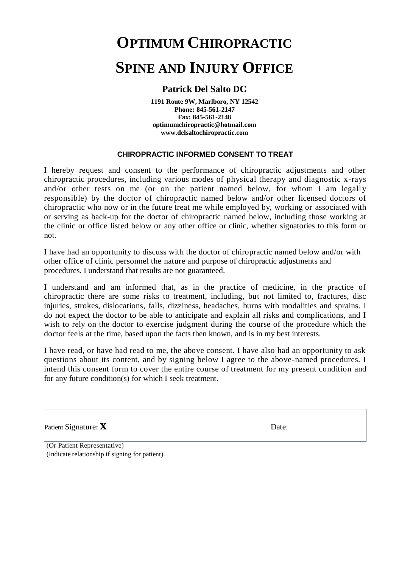## **OPTIMUM CHIROPRACTIC SPINE AND INJURY OFFICE**

#### **Patrick Del Salto DC**

**1191 Route 9W, Marlboro, NY 12542 Phone: 845-561-2147 Fax: 845-561-2148 optimumchiropractic@hotmail.com www.delsaltochiropractic.com**

#### **CHIROPRACTIC INFORMED CONSENT TO TREAT**

I hereby request and consent to the performance of chiropractic adjustments and other chiropractic procedures, including various modes of physical therapy and diagnostic x-rays and/or other tests on me (or on the patient named below, for whom I am legally responsible) by the doctor of chiropractic named below and/or other licensed doctors of chiropractic who now or in the future treat me while employed by, working or associated with or serving as back-up for the doctor of chiropractic named below, including those working at the clinic or office listed below or any other office or clinic, whether signatories to this form or not.

I have had an opportunity to discuss with the doctor of chiropractic named below and/or with other office of clinic personnel the nature and purpose of chiropractic adjustments and procedures. I understand that results are not guaranteed.

I understand and am informed that, as in the practice of medicine, in the practice of chiropractic there are some risks to treatment, including, but not limited to, fractures, disc injuries, strokes, dislocations, falls, dizziness, headaches, burns with modalities and sprains. I do not expect the doctor to be able to anticipate and explain all risks and complications, and I wish to rely on the doctor to exercise judgment during the course of the procedure which the doctor feels at the time, based upon the facts then known, and is in my best interests.

I have read, or have had read to me, the above consent. I have also had an opportunity to ask questions about its content, and by signing below I agree to the above-named procedures. I intend this consent form to cover the entire course of treatment for my present condition and for any future condition(s) for which I seek treatment.

Patient Signature: **X** Date:

(Or Patient Representative) (Indicate relationship if signing for patient)